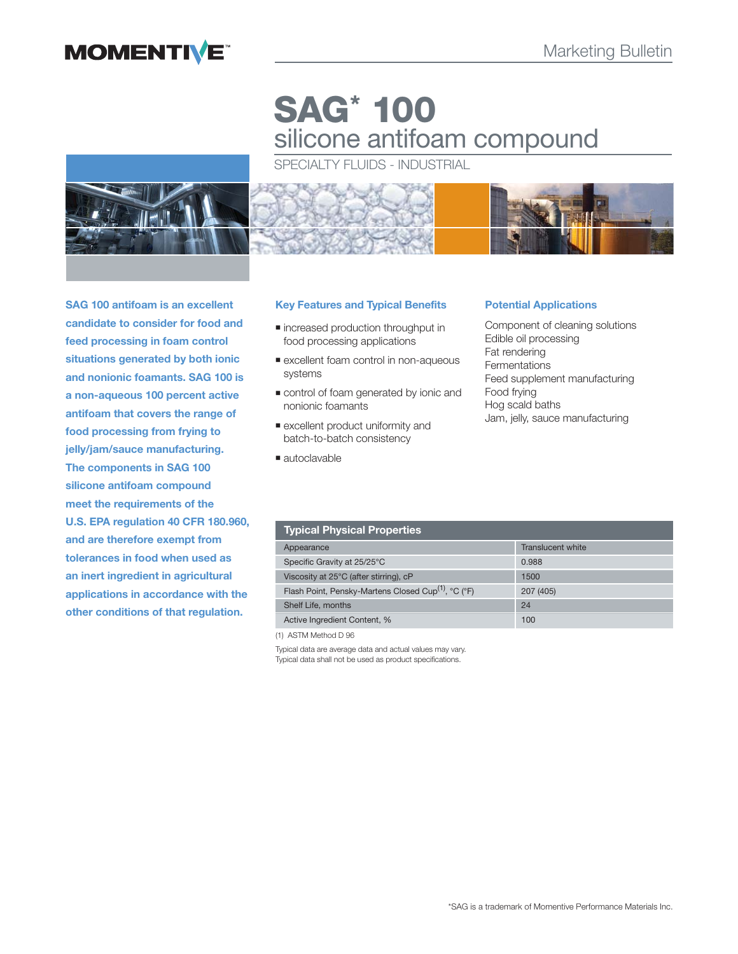# **MOMENTIVE**

# **SAG\* 100** silicone antifoam compound

SPECIALTY FLUIDS - INDUSTRIAL



**SAG 100 antifoam is an excellent candidate to consider for food and feed processing in foam control situations generated by both ionic and nonionic foamants. SAG 100 is a non-aqueous 100 percent active antifoam that covers the range of food processing from frying to jelly/jam/sauce manufacturing. The components in SAG 100 silicone antifoam compound meet the requirements of the U.S. EPA regulation 40 CFR 180.960, and are therefore exempt from tolerances in food when used as an inert ingredient in agricultural applications in accordance with the other conditions of that regulation.**

# **Key Features and Typical Benefits**

- $\blacksquare$  increased production throughput in food processing applications
- **Excellent foam control in non-aqueous** systems
- control of foam generated by ionic and nonionic foamants
- excellent product uniformity and batch-to-batch consistency
- autoclavable

#### **Potential Applications**

Component of cleaning solutions Edible oil processing Fat rendering Fermentations Feed supplement manufacturing Food frying Hog scald baths Jam, jelly, sauce manufacturing

| <b>Typical Physical Properties</b>                              |                   |
|-----------------------------------------------------------------|-------------------|
| Appearance                                                      | Translucent white |
| Specific Gravity at 25/25°C                                     | 0.988             |
| Viscosity at 25°C (after stirring), cP                          | 1500              |
| Flash Point, Pensky-Martens Closed Cup <sup>(1)</sup> , °C (°F) | 207 (405)         |
| Shelf Life, months                                              | 24                |
| Active Ingredient Content, %                                    | 100               |

(1) ASTM Method D 96

Typical data are average data and actual values may vary. Typical data shall not be used as product specifications.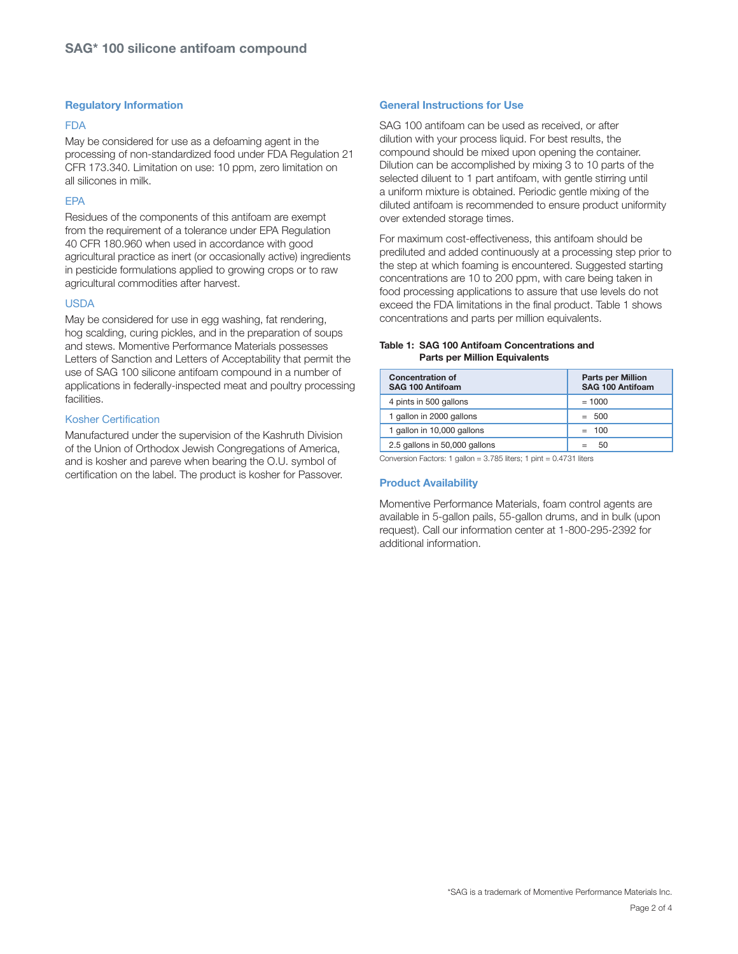# **Regulatory Information**

#### **FDA**

May be considered for use as a defoaming agent in the processing of non-standardized food under FDA Regulation 21 CFR 173.340. Limitation on use: 10 ppm, zero limitation on all silicones in milk.

# EPA

Residues of the components of this antifoam are exempt from the requirement of a tolerance under EPA Regulation 40 CFR 180.960 when used in accordance with good agricultural practice as inert (or occasionally active) ingredients in pesticide formulations applied to growing crops or to raw agricultural commodities after harvest.

# USDA

May be considered for use in egg washing, fat rendering, hog scalding, curing pickles, and in the preparation of soups and stews. Momentive Performance Materials possesses Letters of Sanction and Letters of Acceptability that permit the use of SAG 100 silicone antifoam compound in a number of applications in federally-inspected meat and poultry processing facilities.

# Kosher Certification

Manufactured under the supervision of the Kashruth Division of the Union of Orthodox Jewish Congregations of America, and is kosher and pareve when bearing the O.U. symbol of certification on the label. The product is kosher for Passover.

# **General Instructions for Use**

SAG 100 antifoam can be used as received, or after dilution with your process liquid. For best results, the compound should be mixed upon opening the container. Dilution can be accomplished by mixing 3 to 10 parts of the selected diluent to 1 part antifoam, with gentle stirring until a uniform mixture is obtained. Periodic gentle mixing of the diluted antifoam is recommended to ensure product uniformity over extended storage times.

For maximum cost-effectiveness, this antifoam should be prediluted and added continuously at a processing step prior to the step at which foaming is encountered. Suggested starting concentrations are 10 to 200 ppm, with care being taken in food processing applications to assure that use levels do not exceed the FDA limitations in the final product. Table 1 shows concentrations and parts per million equivalents.

#### **Table 1: SAG 100 Antifoam Concentrations and Parts per Million Equivalents**

| <b>Concentration of</b><br>SAG 100 Antifoam | <b>Parts per Million</b><br>SAG 100 Antifoam |
|---------------------------------------------|----------------------------------------------|
| 4 pints in 500 gallons                      | $= 1000$                                     |
| 1 gallon in 2000 gallons                    | $= 500$                                      |
| 1 gallon in 10,000 gallons                  | $= 100$                                      |
| 2.5 gallons in 50,000 gallons               | .50                                          |

Conversion Factors: 1 gallon = 3.785 liters; 1 pint = 0.4731 liters

# **Product Availability**

Momentive Performance Materials, foam control agents are available in 5-gallon pails, 55-gallon drums, and in bulk (upon request). Call our information center at 1-800-295-2392 for additional information.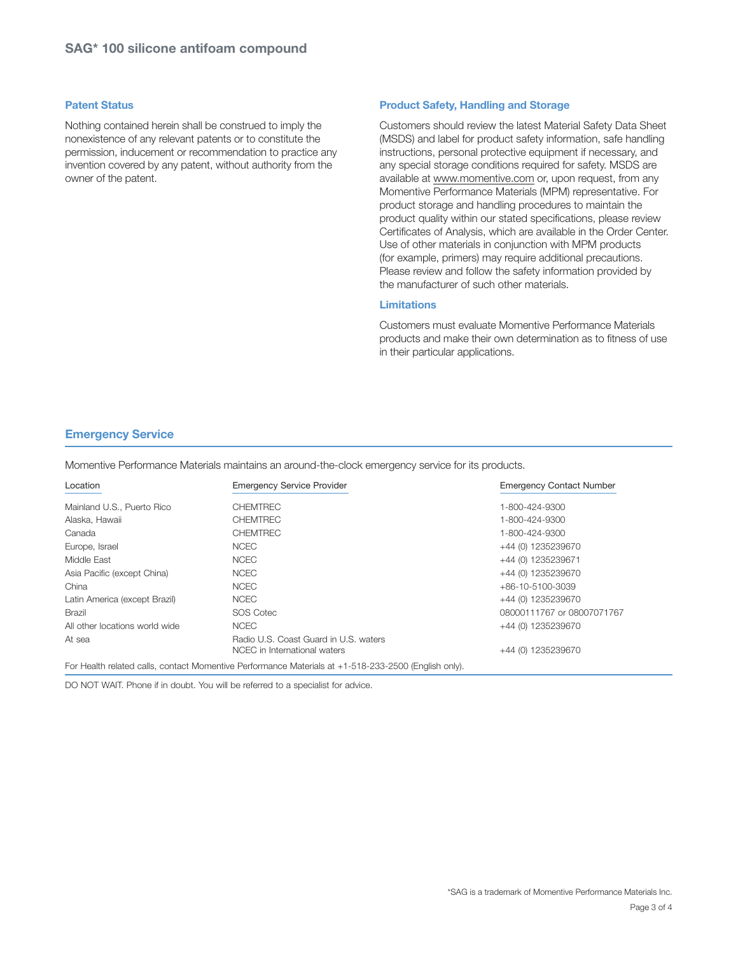#### **Patent Status**

Nothing contained herein shall be construed to imply the nonexistence of any relevant patents or to constitute the permission, inducement or recommendation to practice any invention covered by any patent, without authority from the owner of the patent.

# **Product Safety, Handling and Storage**

Customers should review the latest Material Safety Data Sheet (MSDS) and label for product safety information, safe handling instructions, personal protective equipment if necessary, and any special storage conditions required for safety. MSDS are available at www.momentive.com or, upon request, from any Momentive Performance Materials (MPM) representative. For product storage and handling procedures to maintain the product quality within our stated specifications, please review Certificates of Analysis, which are available in the Order Center. Use of other materials in conjunction with MPM products (for example, primers) may require additional precautions. Please review and follow the safety information provided by the manufacturer of such other materials.

# **Limitations**

Customers must evaluate Momentive Performance Materials products and make their own determination as to fitness of use in their particular applications.

#### **Emergency Service**

Momentive Performance Materials maintains an around-the-clock emergency service for its products.

| Location                       | <b>Emergency Service Provider</b>                                     | <b>Emergency Contact Number</b> |
|--------------------------------|-----------------------------------------------------------------------|---------------------------------|
| Mainland U.S., Puerto Rico     | <b>CHEMTREC</b>                                                       | 1-800-424-9300                  |
| Alaska, Hawaii                 | <b>CHEMTREC</b>                                                       | 1-800-424-9300                  |
| Canada                         | <b>CHEMTREC</b>                                                       | 1-800-424-9300                  |
| Europe, Israel                 | <b>NCEC</b>                                                           | +44 (0) 1235239670              |
| Middle East                    | <b>NCEC</b>                                                           | +44 (0) 1235239671              |
| Asia Pacific (except China)    | <b>NCEC</b>                                                           | +44 (0) 1235239670              |
| China                          | <b>NCEC</b>                                                           | $+86-10-5100-3039$              |
| Latin America (except Brazil)  | <b>NCEC</b>                                                           | +44 (0) 1235239670              |
| <b>Brazil</b>                  | SOS Cotec                                                             | 08000111767 or 08007071767      |
| All other locations world wide | <b>NCEC</b>                                                           | +44 (0) 1235239670              |
| At sea                         | Radio U.S. Coast Guard in U.S. waters<br>NCEC in International waters | +44 (0) 1235239670              |

For Health related calls, contact Momentive Performance Materials at +1-518-233-2500 (English only).

DO NOT WAIT. Phone if in doubt. You will be referred to a specialist for advice.